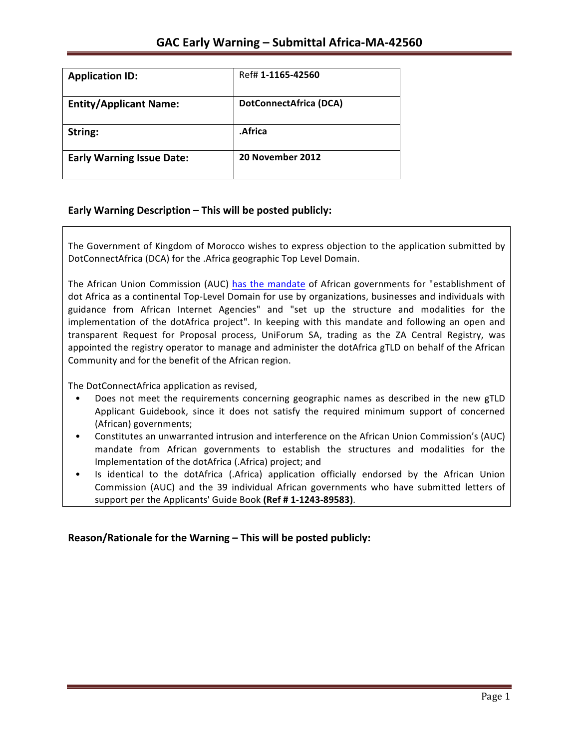| <b>Application ID:</b>           | Ref# 1-1165-42560             |
|----------------------------------|-------------------------------|
| <b>Entity/Applicant Name:</b>    | <b>DotConnectAfrica (DCA)</b> |
| String:                          | .Africa                       |
| <b>Early Warning Issue Date:</b> | 20 November 2012              |

## **Early Warning Description – This will be posted publicly:**

The Government of Kingdom of Morocco wishes to express objection to the application submitted by DotConnectAfrica (DCA) for the .Africa geographic Top Level Domain.

The African Union Commission (AUC) has the mandate of African governments for "establishment of dot Africa as a continental Top-Level Domain for use by organizations, businesses and individuals with guidance from African Internet Agencies" and "set up the structure and modalities for the implementation of the dotAfrica project". In keeping with this mandate and following an open and transparent Request for Proposal process, UniForum SA, trading as the ZA Central Registry, was appointed the registry operator to manage and administer the dotAfrica gTLD on behalf of the African Community and for the benefit of the African region.

The DotConnectAfrica application as revised,

- Does not meet the requirements concerning geographic names as described in the new gTLD Applicant Guidebook, since it does not satisfy the required minimum support of concerned (African) governments;
- Constitutes an unwarranted intrusion and interference on the African Union Commission's (AUC) mandate from African governments to establish the structures and modalities for the Implementation of the dotAfrica (.Africa) project; and
- Is identical to the dotAfrica (.Africa) application officially endorsed by the African Union Commission (AUC) and the 39 individual African governments who have submitted letters of support per the Applicants' Guide Book (Ref # 1-1243-89583).

### Reason/Rationale for the Warning – This will be posted publicly: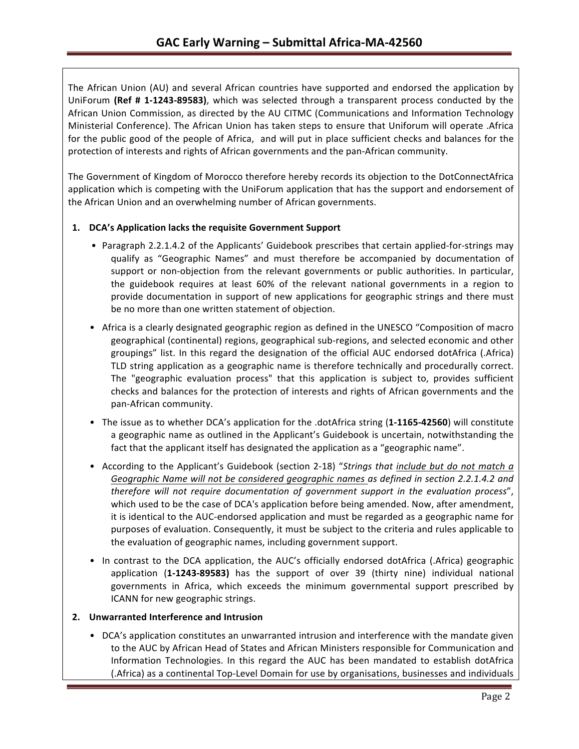The African Union (AU) and several African countries have supported and endorsed the application by UniForum (Ref # 1-1243-89583), which was selected through a transparent process conducted by the African Union Commission, as directed by the AU CITMC (Communications and Information Technology Ministerial Conference). The African Union has taken steps to ensure that Uniforum will operate .Africa for the public good of the people of Africa, and will put in place sufficient checks and balances for the protection of interests and rights of African governments and the pan-African community.

The Government of Kingdom of Morocco therefore hereby records its objection to the DotConnectAfrica application which is competing with the UniForum application that has the support and endorsement of the African Union and an overwhelming number of African governments.

### 1. DCA's Application lacks the requisite Government Support

- Paragraph 2.2.1.4.2 of the Applicants' Guidebook prescribes that certain applied-for-strings may qualify as "Geographic Names" and must therefore be accompanied by documentation of support or non-objection from the relevant governments or public authorities. In particular, the guidebook requires at least 60% of the relevant national governments in a region to provide documentation in support of new applications for geographic strings and there must be no more than one written statement of objection.
- Africa is a clearly designated geographic region as defined in the UNESCO "Composition of macro geographical (continental) regions, geographical sub-regions, and selected economic and other groupings" list. In this regard the designation of the official AUC endorsed dotAfrica (.Africa) TLD string application as a geographic name is therefore technically and procedurally correct. The "geographic evaluation process" that this application is subject to, provides sufficient checks and balances for the protection of interests and rights of African governments and the pan-African community.
- The issue as to whether DCA's application for the .dotAfrica string (1-1165-42560) will constitute a geographic name as outlined in the Applicant's Guidebook is uncertain, notwithstanding the fact that the applicant itself has designated the application as a "geographic name".
- According to the Applicant's Guidebook (section 2-18) "*Strings that include but do not match a* Geographic Name will not be considered geographic names as defined in section 2.2.1.4.2 and *therefore will not require documentation of government support in the evaluation process"*, which used to be the case of DCA's application before being amended. Now, after amendment, it is identical to the AUC-endorsed application and must be regarded as a geographic name for purposes of evaluation. Consequently, it must be subject to the criteria and rules applicable to the evaluation of geographic names, including government support.
- In contrast to the DCA application, the AUC's officially endorsed dotAfrica (.Africa) geographic application (1-1243-89583) has the support of over 39 (thirty nine) individual national governments in Africa, which exceeds the minimum governmental support prescribed by ICANN for new geographic strings.

### **2. Unwarranted Interference and Intrusion**

• DCA's application constitutes an unwarranted intrusion and interference with the mandate given to the AUC by African Head of States and African Ministers responsible for Communication and Information Technologies. In this regard the AUC has been mandated to establish dotAfrica (.Africa) as a continental Top-Level Domain for use by organisations, businesses and individuals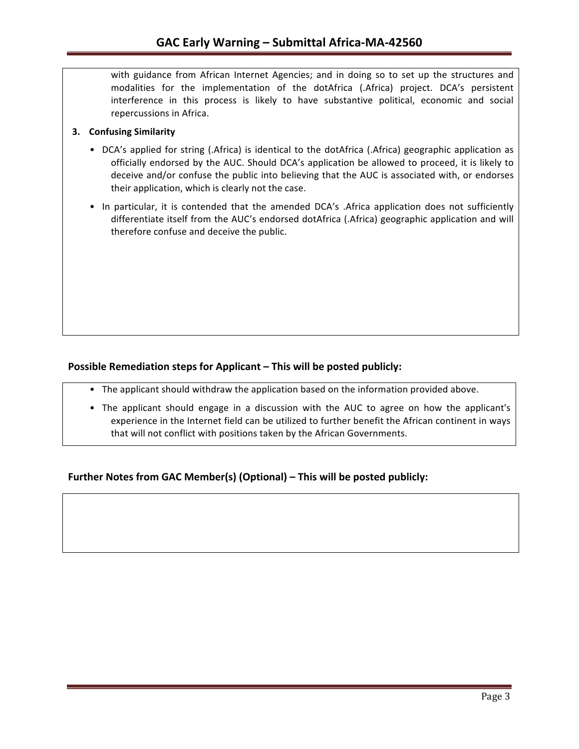with guidance from African Internet Agencies; and in doing so to set up the structures and modalities for the implementation of the dotAfrica (.Africa) project. DCA's persistent interference in this process is likely to have substantive political, economic and social repercussions in Africa.

#### **3. Confusing Similarity**

- DCA's applied for string (.Africa) is identical to the dotAfrica (.Africa) geographic application as officially endorsed by the AUC. Should DCA's application be allowed to proceed, it is likely to deceive and/or confuse the public into believing that the AUC is associated with, or endorses their application, which is clearly not the case.
- In particular, it is contended that the amended DCA's .Africa application does not sufficiently differentiate itself from the AUC's endorsed dotAfrica (.Africa) geographic application and will therefore confuse and deceive the public.

## **Possible Remediation steps for Applicant – This will be posted publicly:**

- The applicant should withdraw the application based on the information provided above.
- The applicant should engage in a discussion with the AUC to agree on how the applicant's experience in the Internet field can be utilized to further benefit the African continent in ways that will not conflict with positions taken by the African Governments.

## **Further Notes from GAC Member(s) (Optional) – This will be posted publicly:**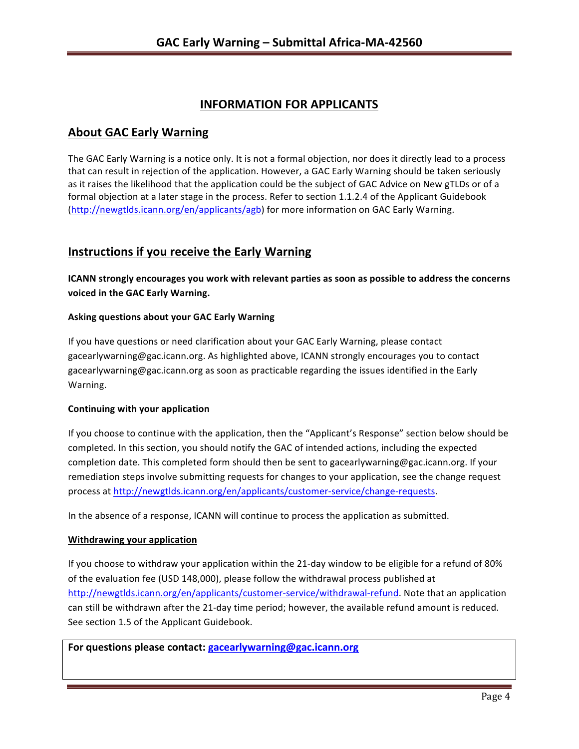# **INFORMATION FOR APPLICANTS**

## **About GAC Early Warning**

The GAC Early Warning is a notice only. It is not a formal objection, nor does it directly lead to a process that can result in rejection of the application. However, a GAC Early Warning should be taken seriously as it raises the likelihood that the application could be the subject of GAC Advice on New gTLDs or of a formal objection at a later stage in the process. Refer to section 1.1.2.4 of the Applicant Guidebook (http://newgtlds.icann.org/en/applicants/agb) for more information on GAC Early Warning.

## **Instructions if you receive the Early Warning**

**ICANN** strongly encourages you work with relevant parties as soon as possible to address the concerns **voiced in the GAC Early Warning.** 

#### **Asking questions about your GAC Early Warning**

If you have questions or need clarification about your GAC Early Warning, please contact gacearlywarning@gac.icann.org. As highlighted above, ICANN strongly encourages you to contact gacearlywarning@gac.icann.org as soon as practicable regarding the issues identified in the Early Warning. 

#### **Continuing with your application**

If you choose to continue with the application, then the "Applicant's Response" section below should be completed. In this section, you should notify the GAC of intended actions, including the expected completion date. This completed form should then be sent to gacearlywarning@gac.icann.org. If your remediation steps involve submitting requests for changes to your application, see the change request process at http://newgtlds.icann.org/en/applicants/customer-service/change-requests.

In the absence of a response, ICANN will continue to process the application as submitted.

#### **Withdrawing your application**

If you choose to withdraw your application within the 21-day window to be eligible for a refund of 80% of the evaluation fee (USD 148,000), please follow the withdrawal process published at http://newgtlds.icann.org/en/applicants/customer-service/withdrawal-refund. Note that an application can still be withdrawn after the 21-day time period; however, the available refund amount is reduced. See section 1.5 of the Applicant Guidebook.

For questions please contact: gacearlywarning@gac.icann.org